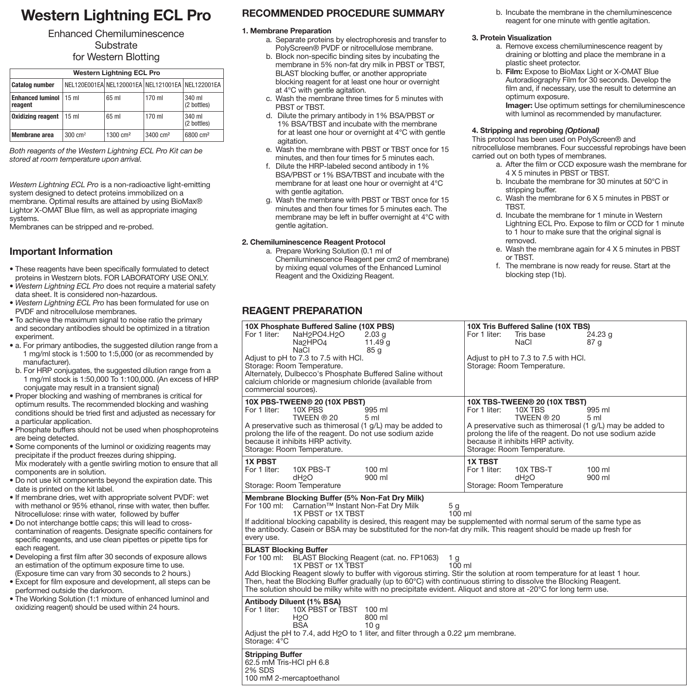# **Western Lightning ECL Pro**

### Enhanced Chemiluminescence **Substrate** for Western Blotting

| <b>Western Lightning ECL Pro</b>   |                                                  |                       |                      |                       |  |
|------------------------------------|--------------------------------------------------|-----------------------|----------------------|-----------------------|--|
| <b>Catalog number</b>              | NEL120E001EA NEL120001EA NEL121001EA NEL122001EA |                       |                      |                       |  |
| <b>Enhanced luminol</b><br>reagent | 15 <sub>m</sub>                                  | 65 ml                 | $170$ ml             | 340 ml<br>(2 bottles) |  |
| <b>Oxidizing reagent</b>           | 15 ml                                            | 65 ml                 | 170 ml               | 340 ml<br>(2 bottles) |  |
| Membrane area                      | $300 \text{ cm}^2$                               | $1300 \, \text{cm}^2$ | 3400 cm <sup>2</sup> | 6800 cm <sup>2</sup>  |  |

*Both reagents of the Western Lightning ECL Pro Kit can be stored at room temperature upon arrival.*

*Western Lightning ECL Pro* is a non-radioactive light-emitting system designed to detect proteins immobilized on a membrane. Optimal results are attained by using BioMax<sup>®</sup> Lightor X-OMAT Blue film, as well as appropriate imaging systems.

Membranes can be stripped and re-probed.

### **Important Information**

- These reagents have been specifically formulated to detect proteins in Westzern blots. FOR LABORATORY USE ONLY.
- *Western Lightning ECL Pro* does not require a material safety data sheet. It is considered non-hazardous.
- *Western Lightning ECL Pro* has been formulated for use on PVDF and nitrocellulose membranes.
- To achieve the maximum signal to noise ratio the primary and secondary antibodies should be optimized in a titration experiment.
- a. For primary antibodies, the suggested dilution range from a 1 mg/ml stock is 1:500 to 1:5,000 (or as recommended by manufacturer).
- b. For HRP conjugates, the suggested dilution range from a 1 mg/ml stock is 1:50,000 To 1:100,000. (An excess of HRP conjugate may result in a transient signal)
- Proper blocking and washing of membranes is critical for optimum results. The recommended blocking and washing conditions should be tried first and adjusted as necessary for a particular application.
- Phosphate buffers should not be used when phosphoproteins are being detected.
- Some components of the luminol or oxidizing reagents may precipitate if the product freezes during shipping. Mix moderately with a gentle swirling motion to ensure that all components are in solution.
- Do not use kit components beyond the expiration date. This date is printed on the kit label.
- If membrane dries, wet with appropriate solvent PVDF: wet with methanol or 95% ethanol, rinse with water, then buffer. Nitrocellulose: rinse with water, followed by buffer
- Do not interchange bottle caps; this will lead to crosscontamination of reagents. Designate specific containers for specific reagents, and use clean pipettes or pipette tips for each reagent.
- Developing a first film after 30 seconds of exposure allows an estimation of the optimum exposure time to use. (Exposure time can vary from 30 seconds to 2 hours.)
- Except for film exposure and development, all steps can be performed outside the darkroom.
- The Working Solution (1:1 mixture of enhanced luminol and oxidizing reagent) should be used within 24 hours.

## **RECOMMENDED PROCEDURE SUMMARY**

#### **1. Membrane Preparation**

- a. Separate proteins by electrophoresis and transfer to PolyScreen® PVDF or nitrocellulose membrane.
- b. Block non-specific binding sites by incubating the membrane in 5% non-fat dry milk in PBST or TBST, BLAST blocking buffer, or another appropriate blocking reagent for at least one hour or overnight at 4°C with gentle agitation.
- c. Wash the membrane three times for 5 minutes with PBST or TBST.
- d. Dilute the primary antibody in 1% BSA/PBST or 1% BSA/TBST and incubate with the membrane for at least one hour or overnight at 4°C with gentle agitation.
- e. Wash the membrane with PBST or TBST once for 15 minutes, and then four times for 5 minutes each.
- f. Dilute the HRP-labeled second antibody in 1% BSA/PBST or 1% BSA/TBST and incubate with the membrane for at least one hour or overnight at 4°C with gentle agitation.
- g. Wash the membrane with PBST or TBST once for 15 minutes and then four times for 5 minutes each. The membrane may be left in buffer overnight at 4°C with gentle agitation.

#### **2. Chemiluminescence Reagent Protocol**

a. Prepare Working Solution (0.1 ml of Chemiluminescence Reagent per cm2 of membrane) by mixing equal volumes of the Enhanced Luminol Reagent and the Oxidizing Reagent.

# **REAGENT PREPARATION**

b. Incubate the membrane in the chemiluminescence reagent for one minute with gentle agitation.

#### **3. Protein Visualization**

- a. Remove excess chemiluminescence reagent by draining or blotting and place the membrane in a plastic sheet protector.
- b. **Film:** Expose to BioMax Light or X-OMAT Blue Autoradiography Film for 30 seconds. Develop the film and, if necessary, use the result to determine an optimum exposure.  **Imager:** Use optimum settings for chemiluminescence with luminol as recommended by manufacturer.

#### **4. Stripping and reprobing** *(Optional)*

This protocol has been used on PolyScreen® and nitrocellulose membranes. Four successful reprobings have been carried out on both types of membranes.

- a. After the film or CCD exposure wash the membrane for 4 X 5 minutes in PBST or TBST.
- b. Incubate the membrane for 30 minutes at 50°C in stripping buffer.
- c. Wash the membrane for 6 X 5 minutes in PBST or TBST.
- d. Incubate the membrane for 1 minute in Western Lightning ECL Pro. Expose to film or CCD for 1 minute to 1 hour to make sure that the original signal is removed.
- e. Wash the membrane again for 4 X 5 minutes in PBST or TBST.
- f. The membrane is now ready for reuse. Start at the blocking step (1b).

| 10X Phosphate Buffered Saline (10X PBS)                                                                                                                                                                                                                                                                                                                                                                                                                                                                | 10X Tris Buffered Saline (10X TBS)                                                                                                                                                                                                                                                               |  |  |  |
|--------------------------------------------------------------------------------------------------------------------------------------------------------------------------------------------------------------------------------------------------------------------------------------------------------------------------------------------------------------------------------------------------------------------------------------------------------------------------------------------------------|--------------------------------------------------------------------------------------------------------------------------------------------------------------------------------------------------------------------------------------------------------------------------------------------------|--|--|--|
| For 1 liter:<br>NaH <sub>2</sub> PO4.H <sub>2</sub> O<br>2.03 <sub>q</sub><br>Na <sub>2</sub> HPO <sub>4</sub><br>11.49 $g$<br><b>NaCl</b><br>85 g<br>Adjust to pH to 7.3 to 7.5 with HCl.<br>Storage: Room Temperature.<br>Alternately, Dulbecco's Phosphate Buffered Saline without<br>calcium chloride or magnesium chloride (available from<br>commercial sources).                                                                                                                                | For 1 liter:<br>Tris base<br>24.23 <sub>q</sub><br><b>NaCl</b><br>87 <sub>g</sub><br>Adjust to pH to 7.3 to 7.5 with HCl.<br>Storage: Room Temperature.                                                                                                                                          |  |  |  |
| 10X PBS-TWEEN® 20 (10X PBST)<br>10X PBS<br>995 ml<br>For 1 liter:<br>TWEEN ® 20<br>5 <sub>m</sub><br>A preservative such as thimerosal $(1 g/L)$ may be added to<br>prolong the life of the reagent. Do not use sodium azide<br>because it inhibits HRP activity.<br>Storage: Room Temperature.                                                                                                                                                                                                        | 10X TBS-TWEEN® 20 (10X TBST)<br>For 1 liter:<br>10X TBS<br>995 ml<br>TWEEN ® 20<br>5 <sub>ml</sub><br>A preservative such as thimerosal $(1 g/L)$ may be added to<br>prolong the life of the reagent. Do not use sodium azide<br>because it inhibits HRP activity.<br>Storage: Room Temperature. |  |  |  |
| <b>1X PBST</b><br>For 1 liter:<br>10X PBS-T<br>$100$ ml<br>dH <sub>2</sub> O<br>900 ml<br>Storage: Room Temperature                                                                                                                                                                                                                                                                                                                                                                                    | <b>1X TBST</b><br>For 1 liter:<br>10X TBS-T<br>$100$ ml<br>900 ml<br>dH <sub>2</sub> O<br>Storage: Room Temperature                                                                                                                                                                              |  |  |  |
| Membrane Blocking Buffer (5% Non-Fat Dry Milk)<br>For 100 ml: Carnation™ Instant Non-Fat Dry Milk<br>5 <sub>g</sub><br>$100 \mathrm{m}$<br>1X PBST or 1X TBST<br>If additional blocking capability is desired, this reagent may be supplemented with normal serum of the same type as<br>the antibody. Casein or BSA may be substituted for the non-fat dry milk. This reagent should be made up fresh for<br>every use.                                                                               |                                                                                                                                                                                                                                                                                                  |  |  |  |
| <b>BLAST Blocking Buffer</b><br>For 100 ml: BLAST Blocking Reagent (cat. no. FP1063)<br>1 g<br>1X PBST or 1X TBST<br>$100 \mathrm{m}$<br>Add Blocking Reagent slowly to buffer with vigorous stirring. Stir the solution at room temperature for at least 1 hour.<br>Then, heat the Blocking Buffer gradually (up to 60°C) with continuous stirring to dissolve the Blocking Reagent.<br>The solution should be milky white with no precipitate evident. Aliquot and store at -20°C for long term use. |                                                                                                                                                                                                                                                                                                  |  |  |  |
| <b>Antibody Diluent (1% BSA)</b><br>For 1 liter:<br>10X PBST or TBST 100 ml<br>H <sub>2</sub> O<br>800 ml<br><b>BSA</b><br>10 <sub>q</sub><br>Adjust the pH to 7.4, add H <sub>2</sub> O to 1 liter, and filter through a 0.22 um membrane.<br>Storage: 4°C                                                                                                                                                                                                                                            |                                                                                                                                                                                                                                                                                                  |  |  |  |
| <b>Stripping Buffer</b><br>62.5 mM Tris-HCl pH 6.8<br><b>2% SDS</b><br>100 mM 2-mercaptoethanol                                                                                                                                                                                                                                                                                                                                                                                                        |                                                                                                                                                                                                                                                                                                  |  |  |  |